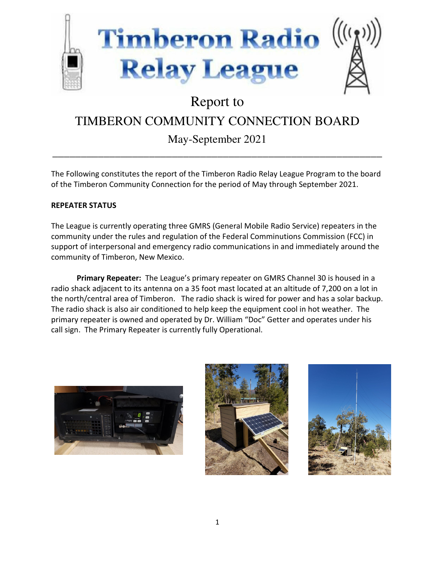

# Report to

## TIMBERON COMMUNITY CONNECTION BOARD

### May-September 2021

\_\_\_\_\_\_\_\_\_\_\_\_\_\_\_\_\_\_\_\_\_\_\_\_\_\_\_\_\_\_\_\_\_\_\_\_\_\_\_\_\_\_\_\_\_\_\_\_\_\_\_\_\_\_\_\_\_\_

The Following constitutes the report of the Timberon Radio Relay League Program to the board of the Timberon Community Connection for the period of May through September 2021.

### **REPEATER STATUS**

The League is currently operating three GMRS (General Mobile Radio Service) repeaters in the community under the rules and regulation of the Federal Comminutions Commission (FCC) in support of interpersonal and emergency radio communications in and immediately around the community of Timberon, New Mexico.

**Primary Repeater:** The League's primary repeater on GMRS Channel 30 is housed in a radio shack adjacent to its antenna on a 35 foot mast located at an altitude of 7,200 on a lot in the north/central area of Timberon. The radio shack is wired for power and has a solar backup. The radio shack is also air conditioned to help keep the equipment cool in hot weather. The primary repeater is owned and operated by Dr. William "Doc" Getter and operates under his call sign. The Primary Repeater is currently fully Operational.





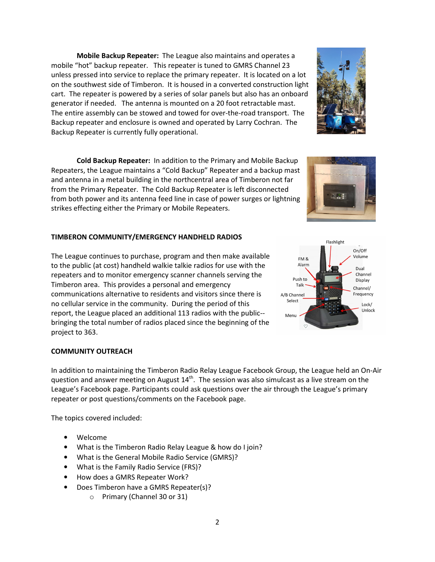**Mobile Backup Repeater:** The League also maintains and operates a mobile "hot" backup repeater. This repeater is tuned to GMRS Channel 23 unless pressed into service to replace the primary repeater. It is located on a lot on the southwest side of Timberon. It is housed in a converted construction light cart. The repeater is powered by a series of solar panels but also has an onboard generator if needed. The antenna is mounted on a 20 foot retractable mast. The entire assembly can be stowed and towed for over-the-road transport. The Backup repeater and enclosure is owned and operated by Larry Cochran. The Backup Repeater is currently fully operational.

**Cold Backup Repeater:** In addition to the Primary and Mobile Backup Repeaters, the League maintains a "Cold Backup" Repeater and a backup mast and antenna in a metal building in the northcentral area of Timberon not far from the Primary Repeater. The Cold Backup Repeater is left disconnected from both power and its antenna feed line in case of power surges or lightning strikes effecting either the Primary or Mobile Repeaters.

#### **TIMBERON COMMUNITY/EMERGENCY HANDHELD RADIOS**

The League continues to purchase, program and then make available to the public (at cost) handheld walkie talkie radios for use with the repeaters and to monitor emergency scanner channels serving the Timberon area. This provides a personal and emergency communications alternative to residents and visitors since there is no cellular service in the community. During the period of this report, the League placed an additional 113 radios with the public- bringing the total number of radios placed since the beginning of the project to 363.

#### **COMMUNITY OUTREACH**

In addition to maintaining the Timberon Radio Relay League Facebook Group, the League held an On-Air question and answer meeting on August  $14<sup>th</sup>$ . The session was also simulcast as a live stream on the League's Facebook page. Participants could ask questions over the air through the League's primary repeater or post questions/comments on the Facebook page.

The topics covered included:

- Welcome
- What is the Timberon Radio Relay League & how do I join?
- What is the General Mobile Radio Service (GMRS)?
- What is the Family Radio Service (FRS)?
- How does a GMRS Repeater Work?
- Does Timberon have a GMRS Repeater(s)?
	- o Primary (Channel 30 or 31)